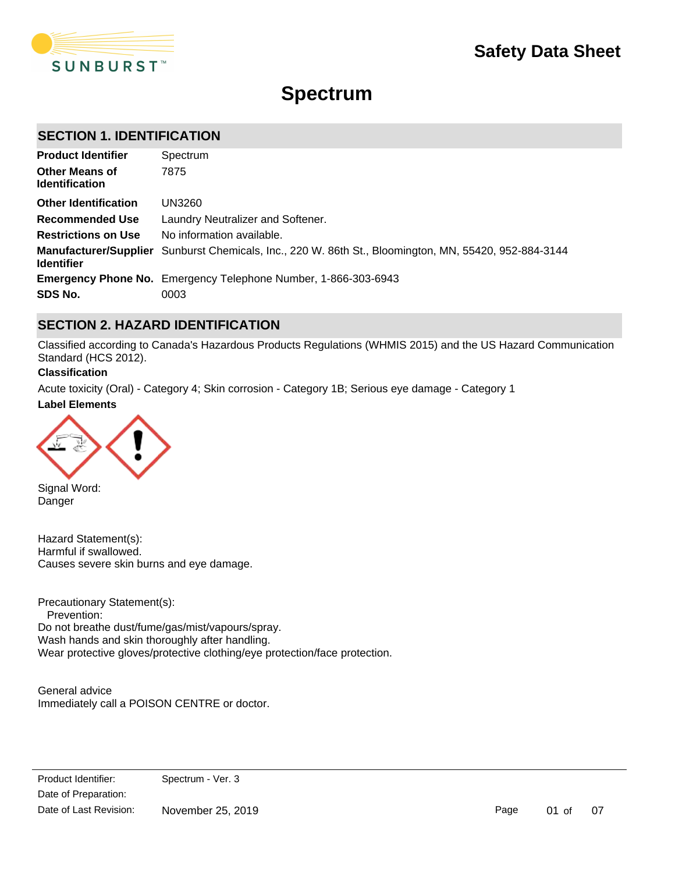

# **Spectrum**

# **SECTION 1. IDENTIFICATION**

| <b>Product Identifier</b>                         | Spectrum                                                                        |
|---------------------------------------------------|---------------------------------------------------------------------------------|
| <b>Other Means of</b><br><b>Identification</b>    | 7875                                                                            |
| <b>Other Identification</b>                       | UN3260                                                                          |
| <b>Recommended Use</b>                            | Laundry Neutralizer and Softener.                                               |
| <b>Restrictions on Use</b>                        | No information available.                                                       |
| <b>Manufacturer/Supplier</b><br><b>Identifier</b> | Sunburst Chemicals, Inc., 220 W. 86th St., Bloomington, MN, 55420, 952-884-3144 |
|                                                   | <b>Emergency Phone No.</b> Emergency Telephone Number, 1-866-303-6943           |
| SDS No.                                           | 0003                                                                            |

# **SECTION 2. HAZARD IDENTIFICATION**

Classified according to Canada's Hazardous Products Regulations (WHMIS 2015) and the US Hazard Communication Standard (HCS 2012).

#### **Classification**

**Label Elements** Acute toxicity (Oral) - Category 4; Skin corrosion - Category 1B; Serious eye damage - Category 1



Signal Word: Danger

Hazard Statement(s): Harmful if swallowed. Causes severe skin burns and eye damage.

Precautionary Statement(s): Prevention: Do not breathe dust/fume/gas/mist/vapours/spray. Wash hands and skin thoroughly after handling. Wear protective gloves/protective clothing/eye protection/face protection.

General advice Immediately call a POISON CENTRE or doctor.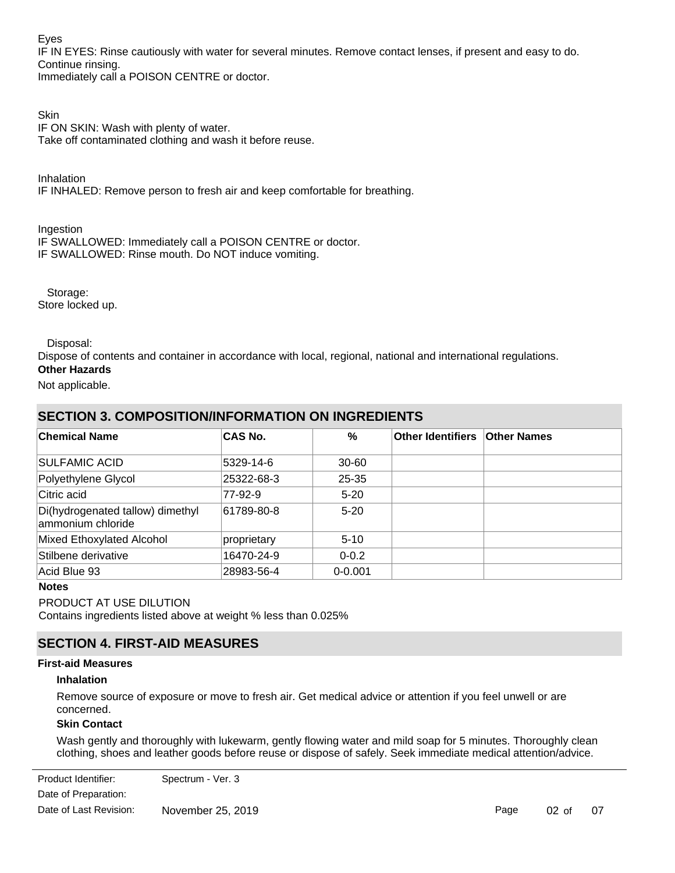Eyes

IF IN EYES: Rinse cautiously with water for several minutes. Remove contact lenses, if present and easy to do. Continue rinsing.

Immediately call a POISON CENTRE or doctor.

Skin IF ON SKIN: Wash with plenty of water. Take off contaminated clothing and wash it before reuse.

Inhalation IF INHALED: Remove person to fresh air and keep comfortable for breathing.

Ingestion

IF SWALLOWED: Immediately call a POISON CENTRE or doctor. IF SWALLOWED: Rinse mouth. Do NOT induce vomiting.

 Storage: Store locked up.

Disposal:

Dispose of contents and container in accordance with local, regional, national and international regulations.

# **Other Hazards**

Not applicable.

| <b>SECTION 3. COMPOSITION/INFORMATION ON INGREDIENTS</b> |                |             |                                      |  |
|----------------------------------------------------------|----------------|-------------|--------------------------------------|--|
| <b>Chemical Name</b>                                     | <b>CAS No.</b> | %           | <b>Other Identifiers Other Names</b> |  |
| <b>SULFAMIC ACID</b>                                     | 5329-14-6      | $30 - 60$   |                                      |  |
| Polyethylene Glycol                                      | 25322-68-3     | 25-35       |                                      |  |
| Citric acid                                              | 77-92-9        | $5-20$      |                                      |  |
| Di(hydrogenated tallow) dimethyl<br>ammonium chloride    | 61789-80-8     | $5 - 20$    |                                      |  |
| Mixed Ethoxylated Alcohol                                | proprietary    | $5 - 10$    |                                      |  |
| Stilbene derivative                                      | 16470-24-9     | $0 - 0.2$   |                                      |  |
| Acid Blue 93                                             | 28983-56-4     | $0 - 0.001$ |                                      |  |

**Notes**

PRODUCT AT USE DILUTION Contains ingredients listed above at weight % less than 0.025%

# **SECTION 4. FIRST-AID MEASURES**

### **First-aid Measures**

# **Inhalation**

Remove source of exposure or move to fresh air. Get medical advice or attention if you feel unwell or are concerned.

### **Skin Contact**

**Eye Contact**

Wash gently and thoroughly with lukewarm, gently flowing water and mild soap for 5 minutes. Thoroughly clean clothing, shoes and leather goods before reuse or dispose of safely. Seek immediate medical attention/advice.

Date of Preparation: Product Identifier: Spectrum - Ver. 3 Date of Last Revision: November 25, 2019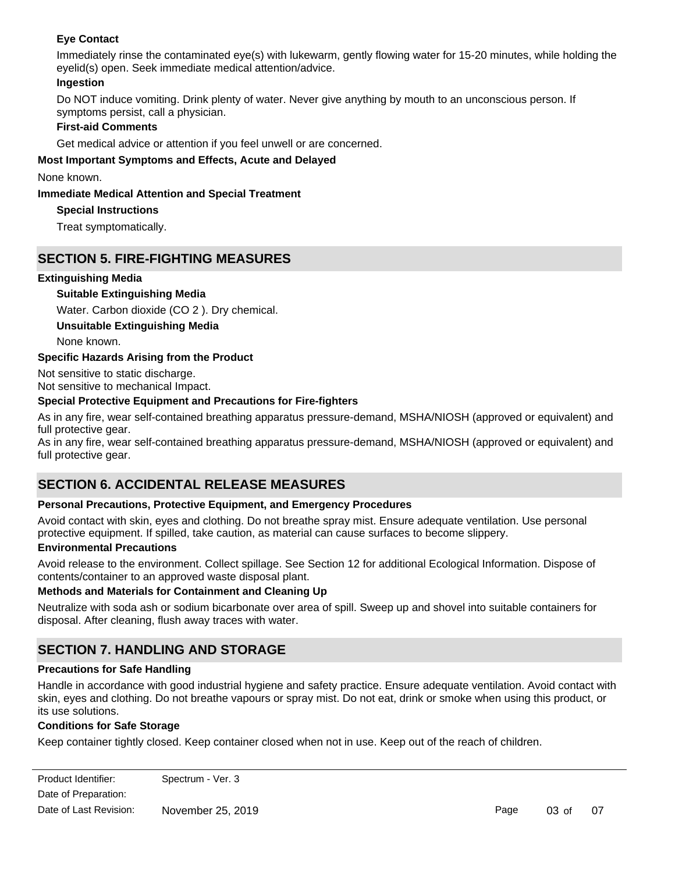# **Eye Contact**

Immediately rinse the contaminated eye(s) with lukewarm, gently flowing water for 15-20 minutes, while holding the eyelid(s) open. Seek immediate medical attention/advice.

# **Ingestion**

Do NOT induce vomiting. Drink plenty of water. Never give anything by mouth to an unconscious person. If symptoms persist, call a physician.

# **First-aid Comments**

Get medical advice or attention if you feel unwell or are concerned.

### **Most Important Symptoms and Effects, Acute and Delayed**

None known.

### **Immediate Medical Attention and Special Treatment**

# **Special Instructions**

Treat symptomatically.

# **SECTION 5. FIRE-FIGHTING MEASURES**

### **Extinguishing Media**

### **Suitable Extinguishing Media**

Water. Carbon dioxide (CO 2 ). Dry chemical.

**Unsuitable Extinguishing Media**

None known.

### **Specific Hazards Arising from the Product**

Not sensitive to static discharge. Not sensitive to mechanical Impact.

#### **Special Protective Equipment and Precautions for Fire-fighters**

As in any fire, wear self-contained breathing apparatus pressure-demand, MSHA/NIOSH (approved or equivalent) and full protective gear.

As in any fire, wear self-contained breathing apparatus pressure-demand, MSHA/NIOSH (approved or equivalent) and full protective gear.

# **SECTION 6. ACCIDENTAL RELEASE MEASURES**

### **Personal Precautions, Protective Equipment, and Emergency Procedures**

Avoid contact with skin, eyes and clothing. Do not breathe spray mist. Ensure adequate ventilation. Use personal protective equipment. If spilled, take caution, as material can cause surfaces to become slippery.

#### **Environmental Precautions**

Avoid release to the environment. Collect spillage. See Section 12 for additional Ecological Information. Dispose of contents/container to an approved waste disposal plant.

### **Methods and Materials for Containment and Cleaning Up**

Neutralize with soda ash or sodium bicarbonate over area of spill. Sweep up and shovel into suitable containers for disposal. After cleaning, flush away traces with water.

# **SECTION 7. HANDLING AND STORAGE**

### **Precautions for Safe Handling**

Handle in accordance with good industrial hygiene and safety practice. Ensure adequate ventilation. Avoid contact with skin, eyes and clothing. Do not breathe vapours or spray mist. Do not eat, drink or smoke when using this product, or its use solutions.

### **Conditions for Safe Storage**

Keep container tightly closed. Keep container closed when not in use. Keep out of the reach of children.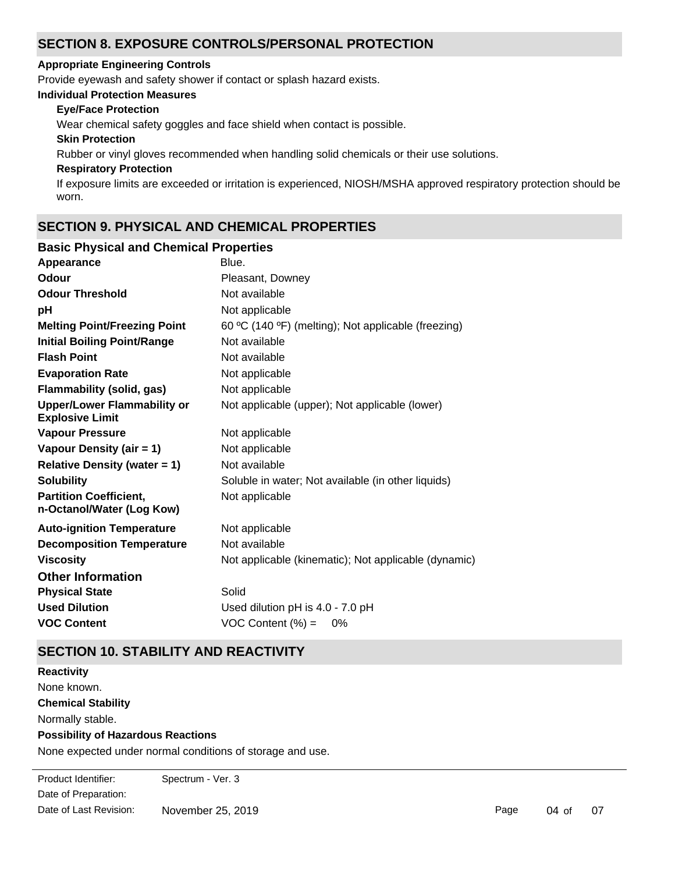# **SECTION 8. EXPOSURE CONTROLS/PERSONAL PROTECTION**

#### **Appropriate Engineering Controls**

Provide eyewash and safety shower if contact or splash hazard exists.

#### **Individual Protection Measures**

# **Eye/Face Protection**

Wear chemical safety goggles and face shield when contact is possible.

# **Skin Protection**

Rubber or vinyl gloves recommended when handling solid chemicals or their use solutions.

# **Respiratory Protection**

If exposure limits are exceeded or irritation is experienced, NIOSH/MSHA approved respiratory protection should be worn.

# **SECTION 9. PHYSICAL AND CHEMICAL PROPERTIES**

# **Basic Physical and Chemical Properties**

| Appearance                                                   | Blue.                                                |
|--------------------------------------------------------------|------------------------------------------------------|
| Odour                                                        | Pleasant, Downey                                     |
| <b>Odour Threshold</b>                                       | Not available                                        |
| рH                                                           | Not applicable                                       |
| <b>Melting Point/Freezing Point</b>                          | 60 °C (140 °F) (melting); Not applicable (freezing)  |
| <b>Initial Boiling Point/Range</b>                           | Not available                                        |
| <b>Flash Point</b>                                           | Not available                                        |
| <b>Evaporation Rate</b>                                      | Not applicable                                       |
| <b>Flammability (solid, gas)</b>                             | Not applicable                                       |
| <b>Upper/Lower Flammability or</b><br><b>Explosive Limit</b> | Not applicable (upper); Not applicable (lower)       |
| <b>Vapour Pressure</b>                                       | Not applicable                                       |
| Vapour Density (air = 1)                                     | Not applicable                                       |
| <b>Relative Density (water = 1)</b>                          | Not available                                        |
| <b>Solubility</b>                                            | Soluble in water; Not available (in other liquids)   |
| <b>Partition Coefficient,</b><br>n-Octanol/Water (Log Kow)   | Not applicable                                       |
| <b>Auto-ignition Temperature</b>                             | Not applicable                                       |
| <b>Decomposition Temperature</b>                             | Not available                                        |
| <b>Viscosity</b>                                             | Not applicable (kinematic); Not applicable (dynamic) |
| <b>Other Information</b>                                     |                                                      |
| <b>Physical State</b>                                        | Solid                                                |
| <b>Used Dilution</b>                                         | Used dilution pH is 4.0 - 7.0 pH                     |
| <b>VOC Content</b>                                           | VOC Content $(\%) =$<br>0%                           |

# **SECTION 10. STABILITY AND REACTIVITY**

**Chemical Stability** Normally stable. **Possibility of Hazardous Reactions** None expected under normal conditions of storage and use. **Reactivity** None known.

Date of Preparation: Product Identifier: Spectrum - Ver. 3 Date of Last Revision: November 25, 2019

**Conditions to Avoid**

Page 04 of 07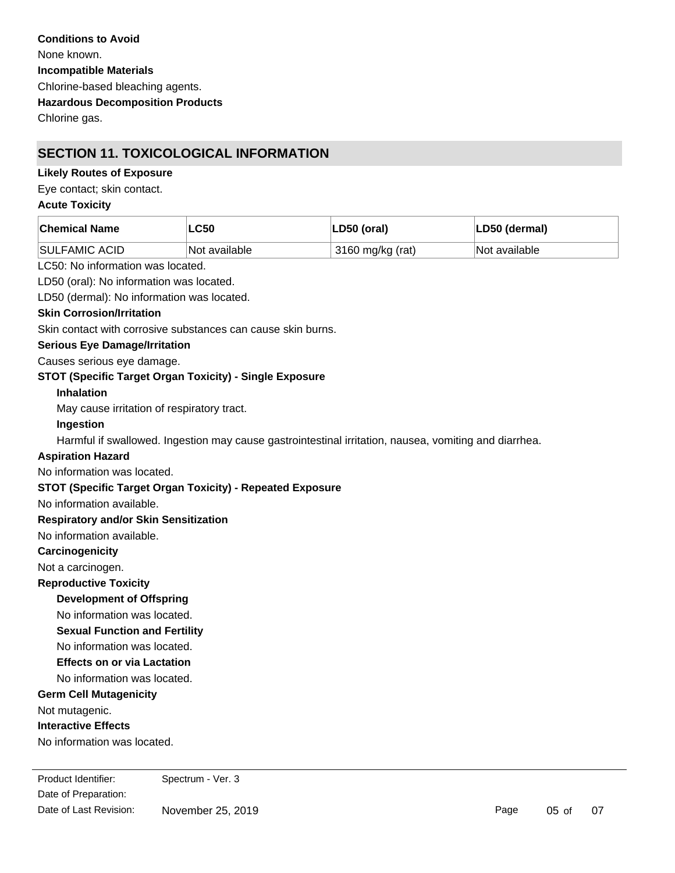Chlorine gas.

# **SECTION 11. TOXICOLOGICAL INFORMATION**

# **Likely Routes of Exposure**

Eye contact; skin contact.

# **Acute Toxicity**

| <b>Chemical Name</b>                                             | <b>LC50</b>                                                                                           | LD50 (oral)      | LD50 (dermal) |  |  |
|------------------------------------------------------------------|-------------------------------------------------------------------------------------------------------|------------------|---------------|--|--|
| <b>SULFAMIC ACID</b>                                             | Not available                                                                                         | 3160 mg/kg (rat) | Not available |  |  |
| LC50: No information was located.                                |                                                                                                       |                  |               |  |  |
| LD50 (oral): No information was located.                         |                                                                                                       |                  |               |  |  |
| LD50 (dermal): No information was located.                       |                                                                                                       |                  |               |  |  |
| <b>Skin Corrosion/Irritation</b>                                 |                                                                                                       |                  |               |  |  |
| Skin contact with corrosive substances can cause skin burns.     |                                                                                                       |                  |               |  |  |
| <b>Serious Eye Damage/Irritation</b>                             |                                                                                                       |                  |               |  |  |
| Causes serious eye damage.                                       |                                                                                                       |                  |               |  |  |
| STOT (Specific Target Organ Toxicity) - Single Exposure          |                                                                                                       |                  |               |  |  |
| <b>Inhalation</b>                                                |                                                                                                       |                  |               |  |  |
| May cause irritation of respiratory tract.                       |                                                                                                       |                  |               |  |  |
| Ingestion                                                        |                                                                                                       |                  |               |  |  |
|                                                                  | Harmful if swallowed. Ingestion may cause gastrointestinal irritation, nausea, vomiting and diarrhea. |                  |               |  |  |
| <b>Aspiration Hazard</b>                                         |                                                                                                       |                  |               |  |  |
| No information was located.                                      |                                                                                                       |                  |               |  |  |
| <b>STOT (Specific Target Organ Toxicity) - Repeated Exposure</b> |                                                                                                       |                  |               |  |  |
| No information available.                                        |                                                                                                       |                  |               |  |  |
| <b>Respiratory and/or Skin Sensitization</b>                     |                                                                                                       |                  |               |  |  |
| No information available.                                        |                                                                                                       |                  |               |  |  |
| Carcinogenicity                                                  |                                                                                                       |                  |               |  |  |
| Not a carcinogen.                                                |                                                                                                       |                  |               |  |  |
| <b>Reproductive Toxicity</b>                                     |                                                                                                       |                  |               |  |  |
| <b>Development of Offspring</b>                                  |                                                                                                       |                  |               |  |  |
| No information was located.                                      |                                                                                                       |                  |               |  |  |
| <b>Sexual Function and Fertility</b>                             |                                                                                                       |                  |               |  |  |
| No information was located.                                      |                                                                                                       |                  |               |  |  |
| <b>Effects on or via Lactation</b>                               |                                                                                                       |                  |               |  |  |
| No information was located.                                      |                                                                                                       |                  |               |  |  |
| <b>Germ Cell Mutagenicity</b>                                    |                                                                                                       |                  |               |  |  |
| Not mutagenic.                                                   |                                                                                                       |                  |               |  |  |
| <b>Interactive Effects</b>                                       |                                                                                                       |                  |               |  |  |
| No information was located.                                      |                                                                                                       |                  |               |  |  |
|                                                                  |                                                                                                       |                  |               |  |  |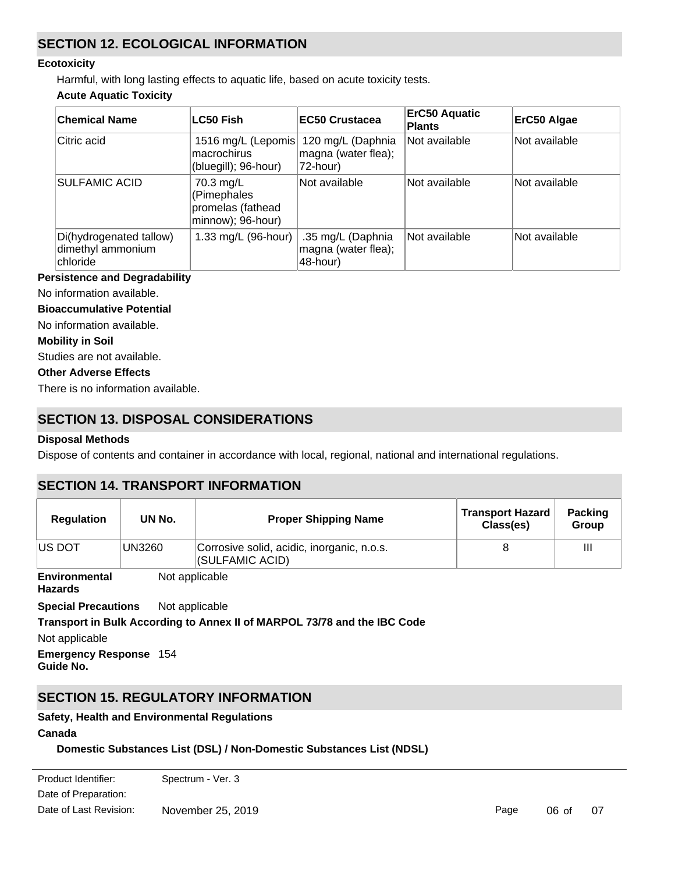# **SECTION 12. ECOLOGICAL INFORMATION**

# **Ecotoxicity**

Harmful, with long lasting effects to aquatic life, based on acute toxicity tests.

# **Acute Aquatic Toxicity**

| <b>Chemical Name</b>                                     | <b>LC50 Fish</b>                                                   | EC50 Crustacea                                       | <b>ErC50 Aquatic</b><br><b>Plants</b> | ErC50 Algae   |
|----------------------------------------------------------|--------------------------------------------------------------------|------------------------------------------------------|---------------------------------------|---------------|
| Citric acid                                              | 1516 mg/L (Lepomis)<br>macrochirus<br>(bluegill); 96-hour)         | 120 mg/L (Daphnia<br>magna (water flea);<br>72-hour) | Not available                         | Not available |
| <b>SULFAMIC ACID</b>                                     | 70.3 mg/L<br>(Pimephales<br>promelas (fathead<br>minnow); 96-hour) | Not available                                        | Not available                         | Not available |
| Di(hydrogenated tallow)<br>dimethyl ammonium<br>chloride | 1.33 mg/L (96-hour)                                                | .35 mg/L (Daphnia<br>magna (water flea);<br>48-hour) | Not available                         | Not available |

### **Persistence and Degradability**

No information available.

# **Bioaccumulative Potential**

No information available.

#### **Mobility in Soil**

Studies are not available.

# **Other Adverse Effects**

There is no information available.

# **SECTION 13. DISPOSAL CONSIDERATIONS**

### **Disposal Methods**

Dispose of contents and container in accordance with local, regional, national and international regulations.

# **SECTION 14. TRANSPORT INFORMATION**

| <b>Regulation</b>    | UN No.         | <b>Proper Shipping Name</b>                                   | <b>Transport Hazard</b><br>Class(es) | <b>Packing</b><br>Group |
|----------------------|----------------|---------------------------------------------------------------|--------------------------------------|-------------------------|
| IUS DOT              | UN3260         | Corrosive solid, acidic, inorganic, n.o.s.<br>(SULFAMIC ACID) |                                      | Ш                       |
| <b>Environmental</b> | Not applicable |                                                               |                                      |                         |

#### **Environmental Hazards**

**Special Precautions** Not applicable

### **Transport in Bulk According to Annex II of MARPOL 73/78 and the IBC Code**

Not applicable

**Emergency Response** 154 **Guide No.**

# **SECTION 15. REGULATORY INFORMATION**

# **Safety, Health and Environmental Regulations**

All ingredients are listed on the DSL/NDSL.

# **Canada**

# **Domestic Substances List (DSL) / Non-Domestic Substances List (NDSL)**